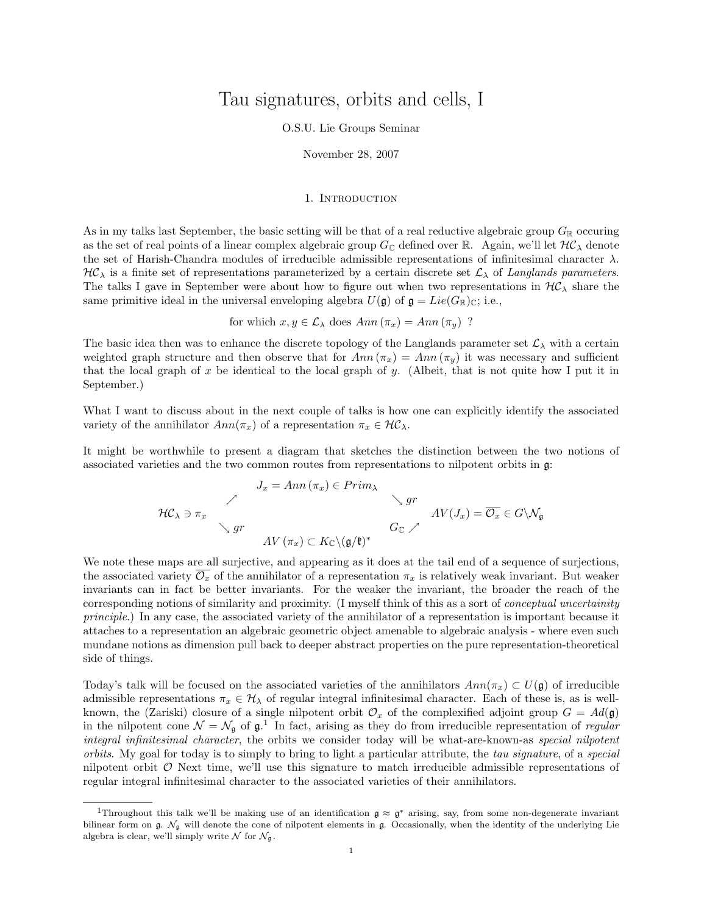# Tau signatures, orbits and cells, I

### O.S.U. Lie Groups Seminar

November 28, 2007

## 1. INTRODUCTION

As in my talks last September, the basic setting will be that of a real reductive algebraic group  $G_{\mathbb{R}}$  occuring as the set of real points of a linear complex algebraic group  $G_{\mathbb{C}}$  defined over R. Again, we'll let  $H\mathcal{C}_\lambda$  denote the set of Harish-Chandra modules of irreducible admissible representations of infinitesimal character  $\lambda$ .  $H\mathcal{C}_\lambda$  is a finite set of representations parameterized by a certain discrete set  $\mathcal{L}_\lambda$  of Langlands parameters. The talks I gave in September were about how to figure out when two representations in  $H\mathcal{C}_{\lambda}$  share the same primitive ideal in the universal enveloping algebra  $U(\mathfrak{g})$  of  $\mathfrak{g}=Lie(G_{\mathbb{R}})_{\mathbb{C}}$ ; i.e.,

for which  $x, y \in \mathcal{L}_{\lambda}$  does  $Ann(\pi_x) = Ann(\pi_y)$ ?

The basic idea then was to enhance the discrete topology of the Langlands parameter set  $\mathcal{L}_{\lambda}$  with a certain weighted graph structure and then observe that for  $Ann(\pi_x) = Ann(\pi_y)$  it was necessary and sufficient that the local graph of x be identical to the local graph of y. (Albeit, that is not quite how I put it in September.)

What I want to discuss about in the next couple of talks is how one can explicitly identify the associated variety of the annihilator  $Ann(\pi_x)$  of a representation  $\pi_x \in \mathcal{HC}_\lambda$ .

It might be worthwhile to present a diagram that sketches the distinction between the two notions of associated varieties and the two common routes from representations to nilpotent orbits in g:

$$
J_x = Ann(\pi_x) \in Prim_{\lambda}
$$
  
\n
$$
H C_{\lambda} \ni \pi_x
$$
  
\n
$$
AV(\pi_x) \subset K_{\mathbb{C}} \setminus (\mathfrak{g}/\mathfrak{k})^*
$$
  
\n
$$
A V(\pi_x) \subset K_{\mathbb{C}} \setminus (\mathfrak{g}/\mathfrak{k})^*
$$
  
\n
$$
A V(\pi_x) \subset K_{\mathbb{C}} \setminus (\mathfrak{g}/\mathfrak{k})^*
$$

We note these maps are all surjective, and appearing as it does at the tail end of a sequence of surjections, the associated variety  $\mathcal{O}_x$  of the annihilator of a representation  $\pi_x$  is relatively weak invariant. But weaker invariants can in fact be better invariants. For the weaker the invariant, the broader the reach of the corresponding notions of similarity and proximity. (I myself think of this as a sort of conceptual uncertainity principle.) In any case, the associated variety of the annihilator of a representation is important because it attaches to a representation an algebraic geometric object amenable to algebraic analysis - where even such mundane notions as dimension pull back to deeper abstract properties on the pure representation-theoretical side of things.

Today's talk will be focused on the associated varieties of the annihilators  $Ann(\pi_x) \subset U(\mathfrak{g})$  of irreducible admissible representations  $\pi_x \in \mathcal{H}_\lambda$  of regular integral infinitesimal character. Each of these is, as is wellknown, the (Zariski) closure of a single nilpotent orbit  $\mathcal{O}_x$  of the complexified adjoint group  $G = Ad(\mathfrak{g})$ in the nilpotent cone  $\mathcal{N} = \mathcal{N}_{\mathfrak{g}}$  of  $\mathfrak{g}^{1}$ . In fact, arising as they do from irreducible representation of regular integral infinitesimal character, the orbits we consider today will be what-are-known-as special nilpotent orbits. My goal for today is to simply to bring to light a particular attribute, the tau signature, of a special nilpotent orbit  $\mathcal O$  Next time, we'll use this signature to match irreducible admissible representations of regular integral infinitesimal character to the associated varieties of their annihilators.

<sup>&</sup>lt;sup>1</sup>Throughout this talk we'll be making use of an identification  $g \approx g^*$  arising, say, from some non-degenerate invariant bilinear form on  $\mathfrak{g}$ .  $\mathcal{N}_{\mathfrak{g}}$  will denote the cone of nilpotent elements in  $\mathfrak{g}$ . Occasionally, when the identity of the underlying Lie algebra is clear, we'll simply write  $\mathcal N$  for  $\mathcal N_{\mathfrak{g}}$ .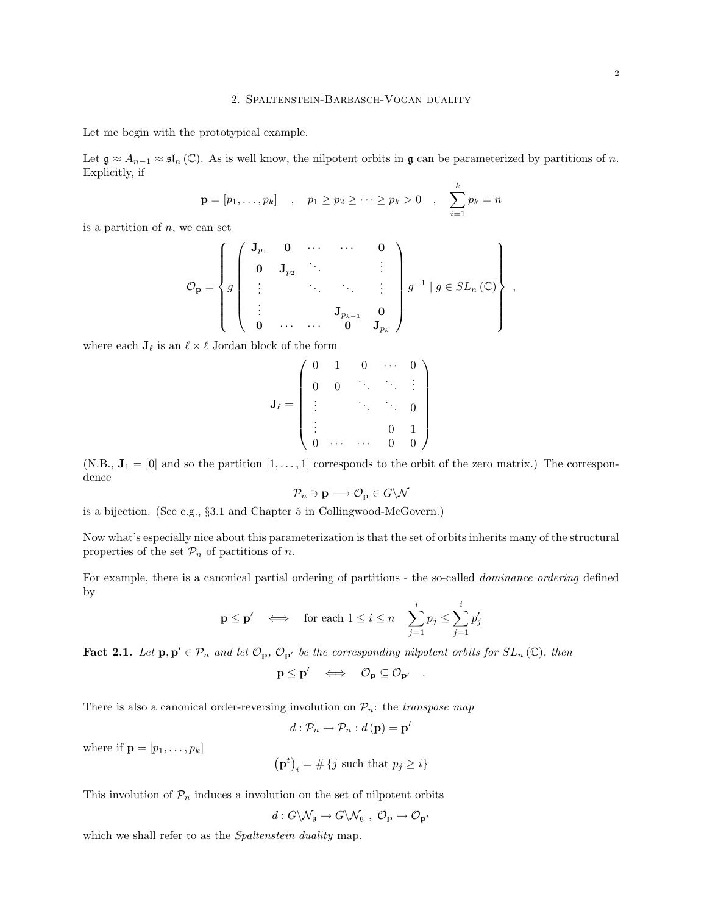Let me begin with the prototypical example.

Let  $\mathfrak{g} \approx A_{n-1} \approx \mathfrak{sl}_n(\mathbb{C})$ . As is well know, the nilpotent orbits in  $\mathfrak{g}$  can be parameterized by partitions of n. Explicitly, if

$$
\mathbf{p} = [p_1, \ldots, p_k]
$$
,  $p_1 \geq p_2 \geq \cdots \geq p_k > 0$ ,  $\sum_{i=1}^k p_k = n$ 

is a partition of  $n$ , we can set

$$
\mathcal{O}_{\mathbf{p}} = \left\{ g \left( \begin{array}{cccc} \mathbf{J}_{p_1} & \mathbf{0} & \cdots & \cdots & \mathbf{0} \\ \mathbf{0} & \mathbf{J}_{p_2} & \ddots & & \vdots \\ \vdots & & \ddots & \ddots & \vdots \\ \mathbf{0} & \cdots & \cdots & \mathbf{0} & \mathbf{J}_{p_k} \end{array} \right) \right\} ,
$$

where each  $J_{\ell}$  is an  $\ell \times \ell$  Jordan block of the form

$$
\mathbf{J}_{\ell} = \left( \begin{array}{cccccc} 0 & 1 & 0 & \cdots & 0 \\ 0 & 0 & \ddots & \ddots & \vdots \\ \vdots & & \ddots & \ddots & 0 \\ \vdots & & & 0 & 1 \\ 0 & \cdots & \cdots & 0 & 0 \end{array} \right)
$$

(N.B.,  $J_1 = [0]$  and so the partition  $[1, \ldots, 1]$  corresponds to the orbit of the zero matrix.) The correspondence

$$
\mathcal{P}_n \ni \mathbf{p} \longrightarrow \mathcal{O}_{\mathbf{p}} \in G \backslash \mathcal{N}
$$

is a bijection. (See e.g., §3.1 and Chapter 5 in Collingwood-McGovern.)

Now what's especially nice about this parameterization is that the set of orbits inherits many of the structural properties of the set  $\mathcal{P}_n$  of partitions of n.

For example, there is a canonical partial ordering of partitions - the so-called *dominance ordering* defined by

$$
\mathbf{p} \le \mathbf{p}' \quad \Longleftrightarrow \quad \text{for each } 1 \le i \le n \quad \sum_{j=1}^i p_j \le \sum_{j=1}^i p'_j
$$

**Fact 2.1.** Let  $\mathbf{p}, \mathbf{p}' \in \mathcal{P}_n$  and let  $\mathcal{O}_{\mathbf{p}}, \mathcal{O}_{\mathbf{p}'}$  be the corresponding nilpotent orbits for  $SL_n(\mathbb{C})$ , then

$$
\mathbf{p} \leq \mathbf{p}' \quad \Longleftrightarrow \quad \mathcal{O}_{\mathbf{p}} \subseteq \mathcal{O}_{\mathbf{p}'} \quad .
$$

There is also a canonical order-reversing involution on  $\mathcal{P}_n$ : the *transpose map* 

$$
d: \mathcal{P}_n \to \mathcal{P}_n : d(\mathbf{p}) = \mathbf{p}^t
$$

where if  $\mathbf{p} = [p_1, \ldots, p_k]$ 

$$
\left(\mathbf{p}^t\right)_i = \#\left\{j \text{ such that } p_j \ge i\right\}
$$

This involution of  $\mathcal{P}_n$  induces a involution on the set of nilpotent orbits

$$
d: G\backslash \mathcal{N}_{\mathfrak{g}}\to G\backslash \mathcal{N}_{\mathfrak{g}}\ ,\ \mathcal{O}_{\mathbf{p}}\mapsto \mathcal{O}_{\mathbf{p}^t}
$$

which we shall refer to as the *Spaltenstein duality* map.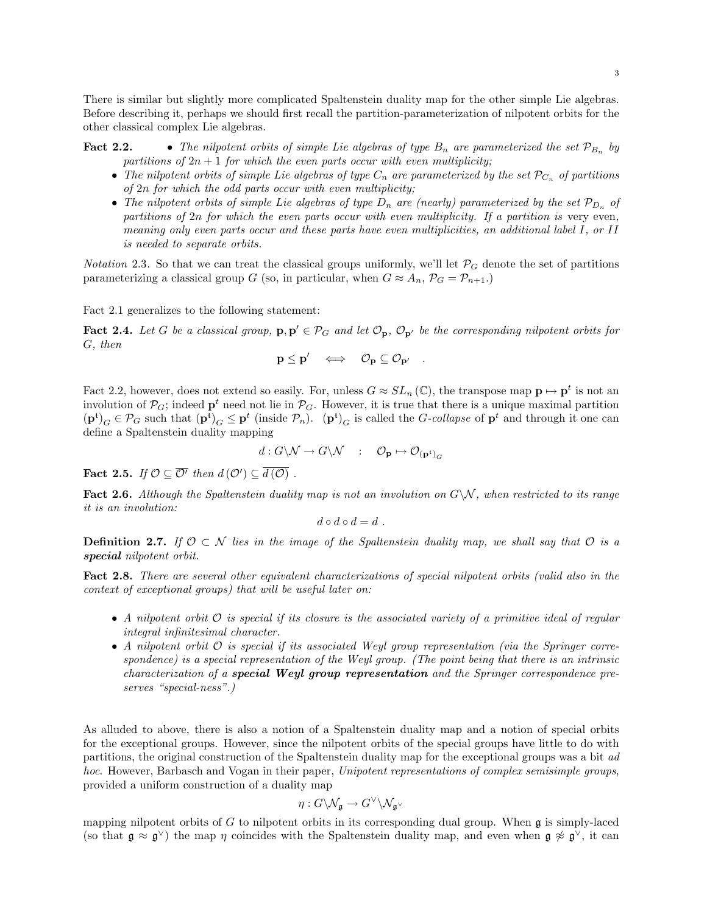There is similar but slightly more complicated Spaltenstein duality map for the other simple Lie algebras. Before describing it, perhaps we should first recall the partition-parameterization of nilpotent orbits for the other classical complex Lie algebras.

**Fact 2.2.** • The nilpotent orbits of simple Lie algebras of type  $B_n$  are parameterized the set  $\mathcal{P}_{B_n}$  by partitions of  $2n + 1$  for which the even parts occur with even multiplicity;

- The nilpotent orbits of simple Lie algebras of type  $C_n$  are parameterized by the set  $\mathcal{P}_{C_n}$  of partitions of 2n for which the odd parts occur with even multiplicity;
- The nilpotent orbits of simple Lie algebras of type  $D_n$  are (nearly) parameterized by the set  $\mathcal{P}_{D_n}$  of partitions of  $2n$  for which the even parts occur with even multiplicity. If a partition is very even, meaning only even parts occur and these parts have even multiplicities, an additional label I, or II is needed to separate orbits.

Notation 2.3. So that we can treat the classical groups uniformly, we'll let  $\mathcal{P}_G$  denote the set of partitions parameterizing a classical group G (so, in particular, when  $G \approx A_n$ ,  $\mathcal{P}_G = \mathcal{P}_{n+1}$ .)

Fact 2.1 generalizes to the following statement:

**Fact 2.4.** Let G be a classical group,  $\mathbf{p}, \mathbf{p}' \in \mathcal{P}_G$  and let  $\mathcal{O}_{\mathbf{p}}, \mathcal{O}_{\mathbf{p}'}$  be the corresponding nilpotent orbits for G, then

$$
\mathbf{p} \leq \mathbf{p}' \quad \Longleftrightarrow \quad \mathcal{O}_{\mathbf{p}} \subseteq \mathcal{O}_{\mathbf{p}'} \quad .
$$

Fact 2.2, however, does not extend so easily. For, unless  $G \approx SL_n(\mathbb{C})$ , the transpose map  $\mathbf{p} \mapsto \mathbf{p}^t$  is not an involution of  $\mathcal{P}_G$ ; indeed  $\mathbf{p}^t$  need not lie in  $\mathcal{P}_G$ . However, it is true that there is a unique maximal partition  $(\mathbf{p}^{\mathsf{t}})_G \in \mathcal{P}_G$  such that  $(\mathbf{p}^{\mathsf{t}})_G \leq \mathbf{p}^{\mathsf{t}}$  (inside  $\mathcal{P}_n$ ).  $(\mathbf{p}^{\mathsf{t}})_G$  is called the *G-collapse* of  $\mathbf{p}^{\mathsf{t}}$  and through it one can define a Spaltenstein duality mapping

$$
d: G\backslash \mathcal{N} \to G\backslash \mathcal{N} \quad : \quad \mathcal{O}_\mathbf{p} \mapsto \mathcal{O}_{(\mathbf{p}^{\mathfrak{t}})_G}
$$

**Fact 2.5.** If  $\mathcal{O} \subseteq \overline{\mathcal{O}'}$  then  $d(\mathcal{O}') \subseteq \overline{d(\mathcal{O})}$ .

**Fact 2.6.** Although the Spaltenstein duality map is not an involution on  $G\setminus\mathcal{N}$ , when restricted to its range it is an involution:

$$
d\circ d\circ d=d.
$$

**Definition 2.7.** If  $\mathcal{O} \subset \mathcal{N}$  lies in the image of the Spaltenstein duality map, we shall say that  $\mathcal{O}$  is a special nilpotent orbit.

Fact 2.8. There are several other equivalent characterizations of special nilpotent orbits (valid also in the context of exceptional groups) that will be useful later on:

- A nilpotent orbit  $\mathcal O$  is special if its closure is the associated variety of a primitive ideal of regular integral infinitesimal character.
- A nilpotent orbit  $\mathcal O$  is special if its associated Weyl group representation (via the Springer correspondence) is a special representation of the Weyl group. (The point being that there is an intrinsic characterization of a special Weyl group representation and the Springer correspondence preserves "special-ness".)

As alluded to above, there is also a notion of a Spaltenstein duality map and a notion of special orbits for the exceptional groups. However, since the nilpotent orbits of the special groups have little to do with partitions, the original construction of the Spaltenstein duality map for the exceptional groups was a bit ad hoc. However, Barbasch and Vogan in their paper, Unipotent representations of complex semisimple groups, provided a uniform construction of a duality map

$$
\eta:G\backslash\mathcal{N}_{\mathfrak{g}}\to G^{\vee}\backslash\mathcal{N}_{\mathfrak{g}^{\vee}}
$$

mapping nilpotent orbits of  $G$  to nilpotent orbits in its corresponding dual group. When  $\mathfrak g$  is simply-laced (so that  $\mathfrak{g} \approx \mathfrak{g}^{\vee}$ ) the map  $\eta$  coincides with the Spaltenstein duality map, and even when  $\mathfrak{g} \not\approx \mathfrak{g}^{\vee}$ , it can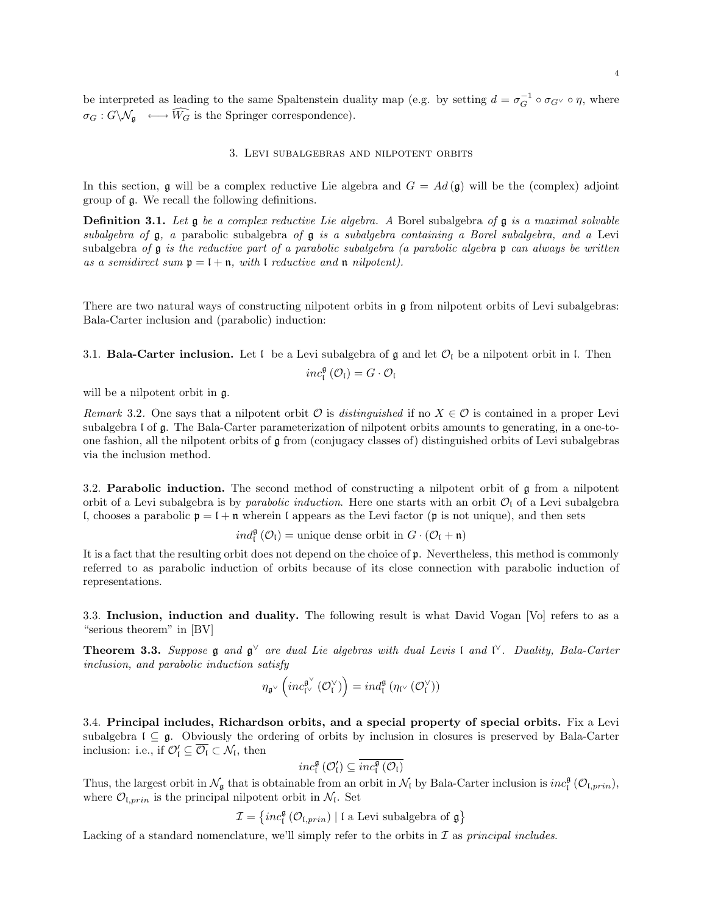be interpreted as leading to the same Spaltenstein duality map (e.g. by setting  $d = \sigma_G^{-1} \circ \sigma_{G} \circ \eta$ , where  $\sigma_G: G\backslash \mathcal{N}_{\mathfrak{g}} \longmapsto \widehat{W_G}$  is the Springer correspondence).

### 3. Levi subalgebras and nilpotent orbits

In this section, g will be a complex reductive Lie algebra and  $G = Ad(g)$  will be the (complex) adjoint group of g. We recall the following definitions.

**Definition 3.1.** Let  $\mathfrak{g}$  be a complex reductive Lie algebra. A Borel subalgebra of  $\mathfrak{g}$  is a maximal solvable subalgebra of  $\mathfrak g$ , a parabolic subalgebra of  $\mathfrak g$  is a subalgebra containing a Borel subalgebra, and a Levi subalgebra of  $\mathfrak g$  is the reductive part of a parabolic subalgebra (a parabolic algebra  $\mathfrak p$  can always be written as a semidirect sum  $\mathfrak{p} = \mathfrak{l} + \mathfrak{n}$ , with  $\mathfrak{l}$  reductive and  $\mathfrak{n}$  nilpotent).

There are two natural ways of constructing nilpotent orbits in g from nilpotent orbits of Levi subalgebras: Bala-Carter inclusion and (parabolic) induction:

3.1. **Bala-Carter inclusion.** Let  $\mathfrak l$  be a Levi subalgebra of  $\mathfrak g$  and let  $\mathcal O_{\mathfrak l}$  be a nilpotent orbit in  $\mathfrak l$ . Then

$$
\mathit{inc}^{\mathfrak{g}}_{\mathfrak{l}}\left(\mathcal{O}_{\mathfrak{l}}\right)=G\cdot\mathcal{O}_{\mathfrak{l}}
$$

will be a nilpotent orbit in g.

Remark 3.2. One says that a nilpotent orbit  $\mathcal{O}$  is distinguished if no  $X \in \mathcal{O}$  is contained in a proper Levi subalgebra l of g. The Bala-Carter parameterization of nilpotent orbits amounts to generating, in a one-toone fashion, all the nilpotent orbits of g from (conjugacy classes of) distinguished orbits of Levi subalgebras via the inclusion method.

3.2. **Parabolic induction.** The second method of constructing a nilpotent orbit of  $\mathfrak{g}$  from a nilpotent orbit of a Levi subalgebra is by parabolic induction. Here one starts with an orbit  $\mathcal{O}_l$  of a Levi subalgebra l, chooses a parabolic  $p = 1 + n$  wherein l appears as the Levi factor (p is not unique), and then sets

 $ind_{\mathfrak{l}}^{\mathfrak{g}}(\mathcal{O}_{\mathfrak{l}}) = \text{unique dense orbit in } G \cdot (\mathcal{O}_{\mathfrak{l}} + \mathfrak{n})$ 

It is a fact that the resulting orbit does not depend on the choice of p. Nevertheless, this method is commonly referred to as parabolic induction of orbits because of its close connection with parabolic induction of representations.

3.3. Inclusion, induction and duality. The following result is what David Vogan [Vo] refers to as a "serious theorem" in [BV]

**Theorem 3.3.** Suppose  $\mathfrak{g}$  and  $\mathfrak{g}^{\vee}$  are dual Lie algebras with dual Levis l and l<sup> $\vee$ </sup>. Duality, Bala-Carter inclusion, and parabolic induction satisfy

$$
\eta_{\mathfrak{g}^\vee}\left( \operatorname{inc}^{\mathfrak{g}^\vee}_{\mathfrak{l}^\vee}\left(\mathcal{O}^\vee_\mathfrak{l}\right) \right) = \operatorname{ind}^{\mathfrak{g}}_{\mathfrak{l}}\left(\eta_{\mathfrak{l}^\vee}\left(\mathcal{O}^\vee_\mathfrak{l}\right)\right)
$$

3.4. Principal includes, Richardson orbits, and a special property of special orbits. Fix a Levi subalgebra  $l \subseteq g$ . Obviously the ordering of orbits by inclusion in closures is preserved by Bala-Carter inclusion: i.e., if  $\mathcal{O}'_1 \subseteq \overline{\mathcal{O}_I} \subset \mathcal{N}_I$ , then

$$
\mathit{inc}^{\mathfrak{g}}_{\mathfrak{l}}\left(\mathcal{O}'_{\mathfrak{l}}\right) \subseteq \overline{\mathit{inc}^{\mathfrak{g}}_{\mathfrak{l}}\left(\mathcal{O}_{\mathfrak{l}}\right)}
$$

Thus, the largest orbit in  $\mathcal{N}_{\mathfrak{g}}$  that is obtainable from an orbit in  $\mathcal{N}_{\mathfrak{l}}$  by Bala-Carter inclusion is  $inc_{\mathfrak{l}}^{\mathfrak{g}}(\mathcal{O}_{\mathfrak{l},prin}),$ where  $\mathcal{O}_{\mathfrak{l},prin}$  is the principal nilpotent orbit in  $\mathcal{N}_{\mathfrak{l}}$ . Set

 $\mathcal{I} = \left\{ inc^{\mathfrak{g}}_{\mathfrak{l}} \left( \mathcal{O}_{\mathfrak{l},prin} \right) \mid \mathfrak{l} \text{ a Levi subalgebra of } \mathfrak{g} \right\}$ 

Lacking of a standard nomenclature, we'll simply refer to the orbits in  $\mathcal I$  as principal includes.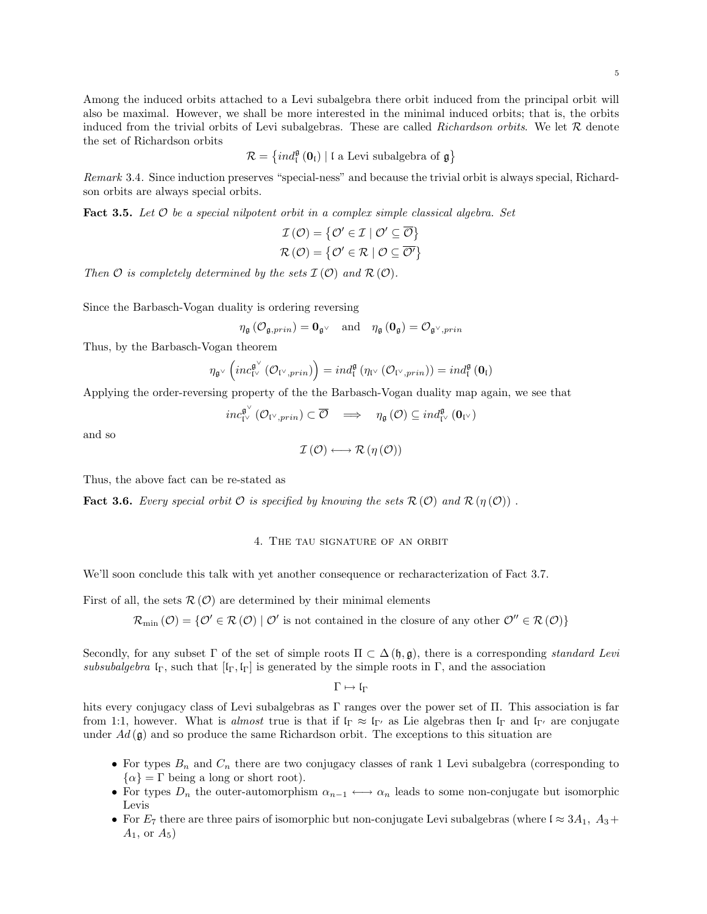Among the induced orbits attached to a Levi subalgebra there orbit induced from the principal orbit will also be maximal. However, we shall be more interested in the minimal induced orbits; that is, the orbits induced from the trivial orbits of Levi subalgebras. These are called Richardson orbits. We let  $R$  denote the set of Richardson orbits

$$
\mathcal{R}=\left\{ind_{\mathfrak{l}}^{\mathfrak{g}}\left(\mathbf{0}_{\mathfrak{l}}\right)\mid\mathfrak{l}\text{ a Levi subalgebra of }\mathfrak{g}\right\}
$$

Remark 3.4. Since induction preserves "special-ness" and because the trivial orbit is always special, Richardson orbits are always special orbits.

**Fact 3.5.** Let  $\mathcal O$  be a special nilpotent orbit in a complex simple classical algebra. Set

$$
\mathcal{I}(\mathcal{O}) = \{ \mathcal{O}' \in \mathcal{I} \mid \mathcal{O}' \subseteq \overline{\mathcal{O}} \} \mathcal{R}(\mathcal{O}) = \{ \mathcal{O}' \in \mathcal{R} \mid \mathcal{O} \subseteq \overline{\mathcal{O}'} \}
$$

Then  $\mathcal O$  is completely determined by the sets  $\mathcal I(\mathcal O)$  and  $\mathcal R(\mathcal O)$ .

Since the Barbasch-Vogan duality is ordering reversing

$$
\eta_{\mathfrak{g}}\left(\mathcal{O}_{\mathfrak{g},prin}\right)=\mathbf{0}_{\mathfrak{g}^\vee}\quad\text{and}\quad\eta_{\mathfrak{g}}\left(\mathbf{0}_{\mathfrak{g}}\right)=\mathcal{O}_{\mathfrak{g}^\vee,prin}
$$

Thus, by the Barbasch-Vogan theorem

$$
\eta_{\mathfrak{g}^\vee}\left(inc_{\mathfrak{l}^\vee}^{\mathfrak{g}^\vee}(\mathcal{O}_{\mathfrak{l}^\vee,prin})\right)=ind_{\mathfrak{l}}^{\mathfrak{g}}\left(\eta_{\mathfrak{l}^\vee}(\mathcal{O}_{\mathfrak{l}^\vee,prin})\right)=ind_{\mathfrak{l}}^{\mathfrak{g}}\left(\mathbf{0}_{\mathfrak{l}}\right)
$$

Applying the order-reversing property of the the Barbasch-Vogan duality map again, we see that

$$
inc_{\mathrm{IV}}^{\mathfrak{g}^{\vee}}(\mathcal{O}_{\mathrm{IV},prin}) \subset \overline{\mathcal{O}} \quad \Longrightarrow \quad \eta_{\mathfrak{g}}\left(\mathcal{O}\right) \subseteq ind_{\mathrm{IV}}^{\mathfrak{g}}\left(\mathbf{0}_{\mathrm{IV}}\right)
$$

and so

 $\mathcal{I}(\mathcal{O}) \longleftrightarrow \mathcal{R}(\eta(\mathcal{O}))$ 

Thus, the above fact can be re-stated as

**Fact 3.6.** Every special orbit  $\mathcal O$  is specified by knowing the sets  $\mathcal R(\mathcal O)$  and  $\mathcal R(\eta(\mathcal O))$ .

#### 4. The tau signature of an orbit

We'll soon conclude this talk with yet another consequence or recharacterization of Fact 3.7.

First of all, the sets  $\mathcal{R}(\mathcal{O})$  are determined by their minimal elements

 $\mathcal{R}_{\min}(\mathcal{O}) = \{ \mathcal{O}' \in \mathcal{R}(\mathcal{O}) \mid \mathcal{O}' \text{ is not contained in the closure of any other } \mathcal{O}'' \in \mathcal{R}(\mathcal{O}) \}$ 

Secondly, for any subset  $\Gamma$  of the set of simple roots  $\Pi \subset \Delta(\mathfrak{h}, \mathfrak{g})$ , there is a corresponding standard Levi subsubalgebra  $\mathfrak{l}_{\Gamma}$ , such that  $[\mathfrak{l}_{\Gamma}, \mathfrak{l}_{\Gamma}]$  is generated by the simple roots in  $\Gamma$ , and the association

 $\Gamma \mapsto \mathfrak{l}_\Gamma$ 

hits every conjugacy class of Levi subalgebras as  $\Gamma$  ranges over the power set of  $\Pi$ . This association is far from 1:1, however. What is almost true is that if  $\mathfrak{lr}_{\Gamma} \approx \mathfrak{lr}_{\Gamma}$  as Lie algebras then  $\mathfrak{lr}_{\Gamma}$  and  $\mathfrak{lr}_{\Gamma}$  are conjugate under  $Ad(\mathfrak{g})$  and so produce the same Richardson orbit. The exceptions to this situation are

- For types  $B_n$  and  $C_n$  there are two conjugacy classes of rank 1 Levi subalgebra (corresponding to  $\{\alpha\} = \Gamma$  being a long or short root).
- For types  $D_n$  the outer-automorphism  $\alpha_{n-1} \longleftrightarrow \alpha_n$  leads to some non-conjugate but isomorphic Levis
- For  $E_7$  there are three pairs of isomorphic but non-conjugate Levi subalgebras (where  $\mathfrak{l} \approx 3A_1$ ,  $A_3 +$  $A_1$ , or  $A_5$ )